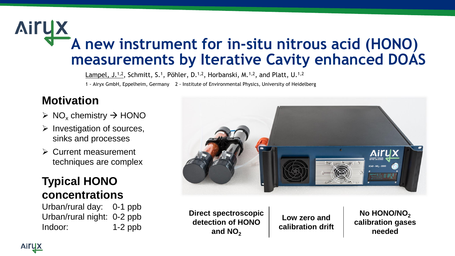## **Airux A new instrument for in-situ nitrous acid (HONO) measurements by Iterative Cavity enhanced DOAS**

Lampel, J.<sup>1,2</sup>, Schmitt, S.<sup>1</sup>, Pöhler, D.<sup>1,2</sup>, Horbanski, M.<sup>1,2</sup>, and Platt, U.<sup>1,2</sup> 1 - Airyx GmbH, Eppelheim, Germany 2 - Institute of Environmental Physics, University of Heidelberg

## **Motivation**

- $\triangleright$  NO<sub>x</sub> chemistry  $\rightarrow$  HONO
- $\triangleright$  Investigation of sources, sinks and processes
- ➢ Current measurement techniques are complex

### **Typical HONO concentrations**

Urban/rural day: 0-1 ppb Urban/rural night: 0-2 ppb Indoor: 1-2 ppb



**Direct spectroscopic detection of HONO**  and  $NO<sub>2</sub>$ 

**Low zero and calibration drift**

No HONO/NO<sub>2</sub> **calibration gases needed**

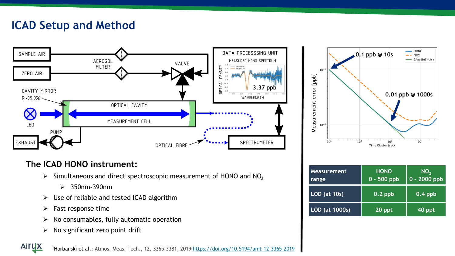## **ICAD Setup and Method**



#### **The ICAD HONO instrument:**

- $\triangleright$  Simultaneous and direct spectroscopic measurement of HONO and NO<sub>2</sub>
	- ➢ 350nm-390nm
- $\triangleright$  Use of reliable and tested ICAD algorithm
- $\triangleright$  Fast response time

**Airux** 

- $\triangleright$  No consumables, fully automatic operation
- $\triangleright$  No significant zero point drift



| <b>Measurement</b><br>range | <b>HONO</b><br>$0 - 500$ ppb | NO <sub>2</sub><br>0 - 2000 ppb |
|-----------------------------|------------------------------|---------------------------------|
| <b>LOD</b> (at 10s)         | $0.2$ ppb                    | $0.4$ ppb                       |
| LOD (at 1000s)              | 20 ppt                       | $40$ ppt                        |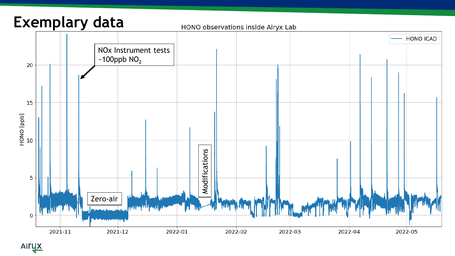## **Exemplary data**

#### HONO observations inside Airyx Lab

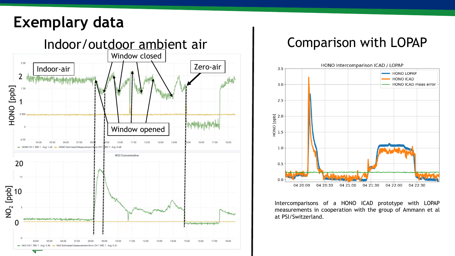## **Exemplary data**





Intercomparisons of a HONO ICAD prototype with LOPAP measurements in cooperation with the group of Ammann et al at PSI/Switzerland.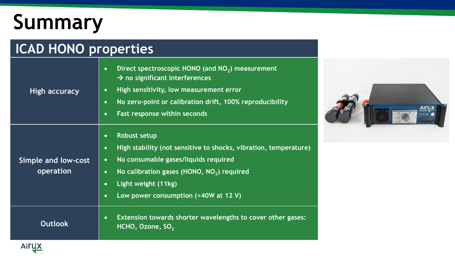# **Summary**

**Airu** 

### **ICAD HONO properties High accuracy** • **Direct spectroscopic HONO (and NO<sup>2</sup> ) measurement**  → **no significant interferences** • **High sensitivity, low measurement error** • **No zero-point or calibration drift, 100% reproducibility** • **Fast response within seconds Simple and low-cost operation** • **Robust setup** • **High stability (not sensitive to shocks, vibration, temperature)** • **No consumable gases/liquids required** • **No calibration gases (HONO, NO<sup>2</sup> ) required** • **Light weight (11kg)** • **Low power consumption (<40W at 12 V) Outlook** • **Extension towards shorter wavelengths to cover other gases: HCHO, Ozone, SO<sub>2</sub>**